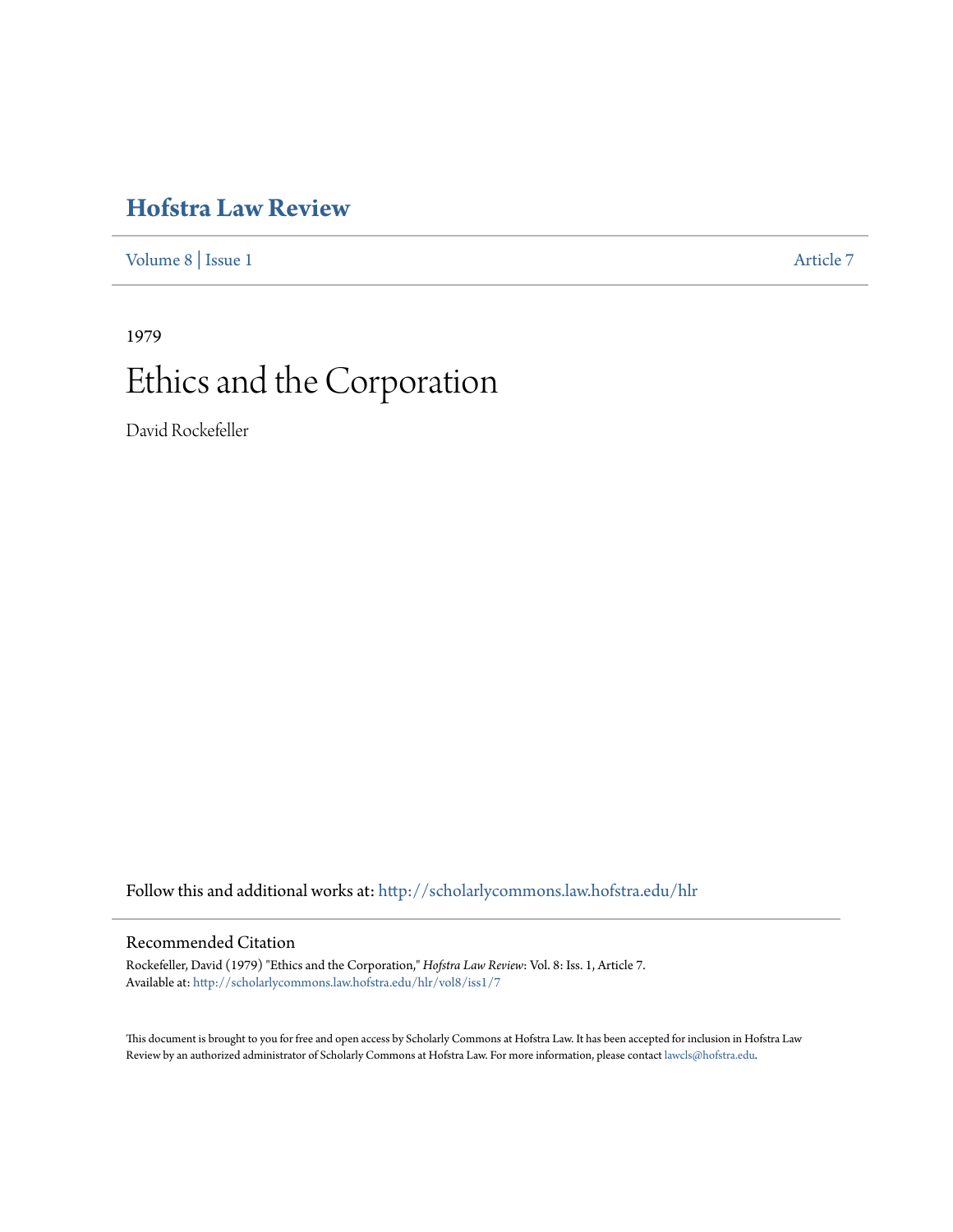# **[Hofstra Law Review](http://scholarlycommons.law.hofstra.edu/hlr?utm_source=scholarlycommons.law.hofstra.edu%2Fhlr%2Fvol8%2Fiss1%2F7&utm_medium=PDF&utm_campaign=PDFCoverPages)**

[Volume 8](http://scholarlycommons.law.hofstra.edu/hlr/vol8?utm_source=scholarlycommons.law.hofstra.edu%2Fhlr%2Fvol8%2Fiss1%2F7&utm_medium=PDF&utm_campaign=PDFCoverPages) | [Issue 1](http://scholarlycommons.law.hofstra.edu/hlr/vol8/iss1?utm_source=scholarlycommons.law.hofstra.edu%2Fhlr%2Fvol8%2Fiss1%2F7&utm_medium=PDF&utm_campaign=PDFCoverPages) [Article 7](http://scholarlycommons.law.hofstra.edu/hlr/vol8/iss1/7?utm_source=scholarlycommons.law.hofstra.edu%2Fhlr%2Fvol8%2Fiss1%2F7&utm_medium=PDF&utm_campaign=PDFCoverPages)

# 1979 Ethics and the Corporation

David Rockefeller

Follow this and additional works at: [http://scholarlycommons.law.hofstra.edu/hlr](http://scholarlycommons.law.hofstra.edu/hlr?utm_source=scholarlycommons.law.hofstra.edu%2Fhlr%2Fvol8%2Fiss1%2F7&utm_medium=PDF&utm_campaign=PDFCoverPages)

# Recommended Citation

Rockefeller, David (1979) "Ethics and the Corporation," *Hofstra Law Review*: Vol. 8: Iss. 1, Article 7. Available at: [http://scholarlycommons.law.hofstra.edu/hlr/vol8/iss1/7](http://scholarlycommons.law.hofstra.edu/hlr/vol8/iss1/7?utm_source=scholarlycommons.law.hofstra.edu%2Fhlr%2Fvol8%2Fiss1%2F7&utm_medium=PDF&utm_campaign=PDFCoverPages)

This document is brought to you for free and open access by Scholarly Commons at Hofstra Law. It has been accepted for inclusion in Hofstra Law Review by an authorized administrator of Scholarly Commons at Hofstra Law. For more information, please contact [lawcls@hofstra.edu](mailto:lawcls@hofstra.edu).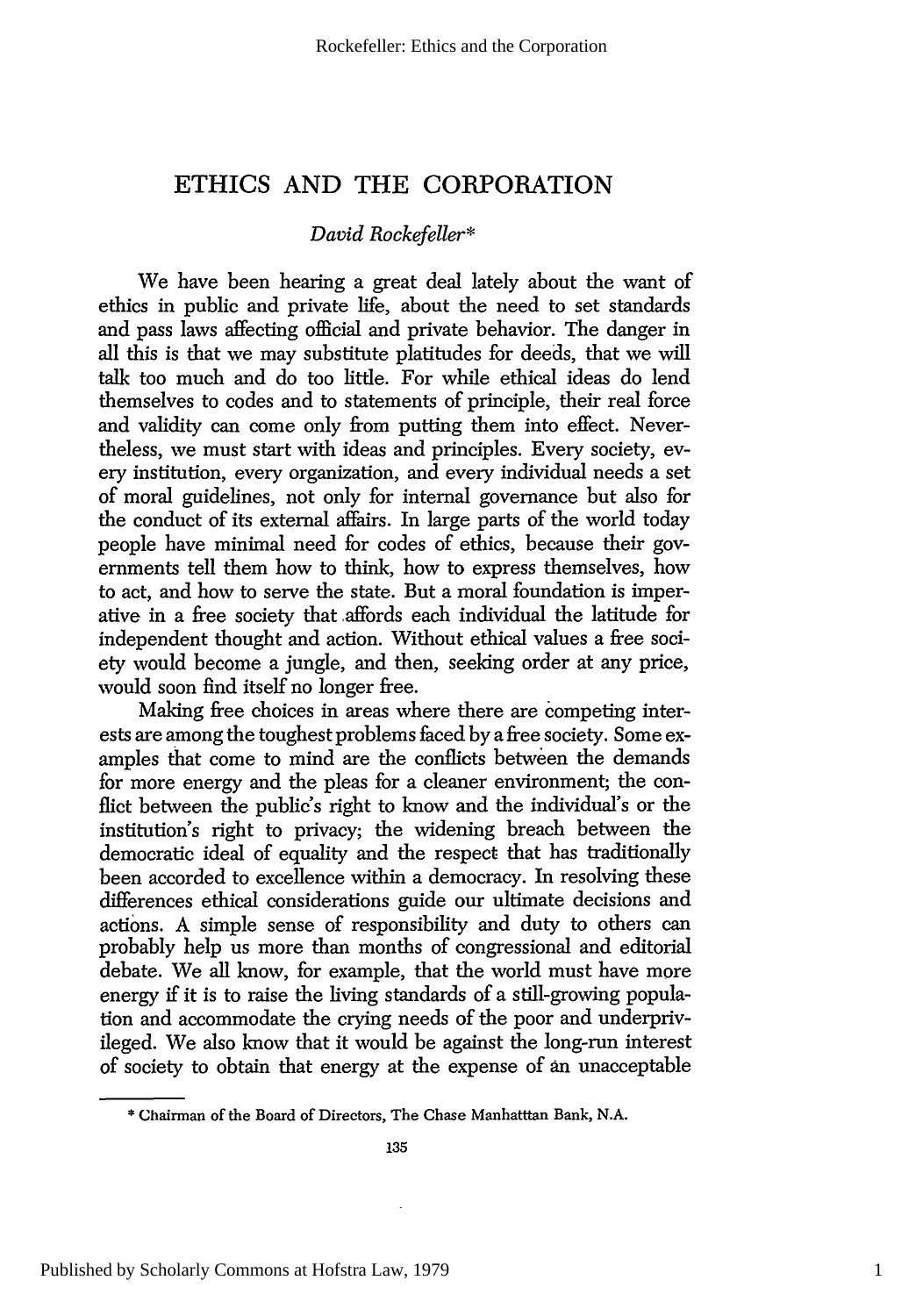# **ETHICS AND** THE CORPORATION

## *David Rockefeller\**

We have been hearing a great deal lately about the want of ethics in public and private life, about the need to set standards and pass laws affecting official and private behavior. The danger in all this is that we may substitute platitudes for deeds, that we will talk too much and do too little. For while ethical ideas do lend themselves to codes and to statements of principle, their real force and validity can come only from putting them into effect. Nevertheless, we must start with ideas and principles. Every society, every institution, every organization, and every individual needs a set of moral guidelines, not only for internal governance but also for the conduct of its external affairs. In large parts of the world today people have minimal need for codes of ethics, because their governments tell them how to think, how to express themselves, how to act, and how to serve the state. But a moral foundation is imperative in a free society that affords each individual the latitude for independent thought and action. Without ethical values a free society would become a jungle, and then, seeking order at any price, would soon find itself no longer free.

Making free choices in areas where there are competing interests are among the toughest problems faced by a free society. Some examples that come to mind are the conflicts between the demands for more energy and the pleas for a cleaner environment; the conflict between the public's right to know and the individual's or the institution's right to privacy; the widening breach between the democratic ideal of equality and the respect that has traditionally been accorded to excellence within a democracy. In resolving these differences ethical considerations guide our ultimate decisions and actions. A simple sense of responsibility and duty to others can probably help us more than months of congressional and editorial debate. We all know, for example, that the world must have more energy if it is to raise the living standards of a still-growing population and accommodate the crying needs of the poor and underprivileged. We also know that it would be against the long-run interest of society to obtain that energy at the expense of an unacceptable

<sup>\*</sup> Chairman of the Board of Directors, The Chase Manhatttan Bank, N.A.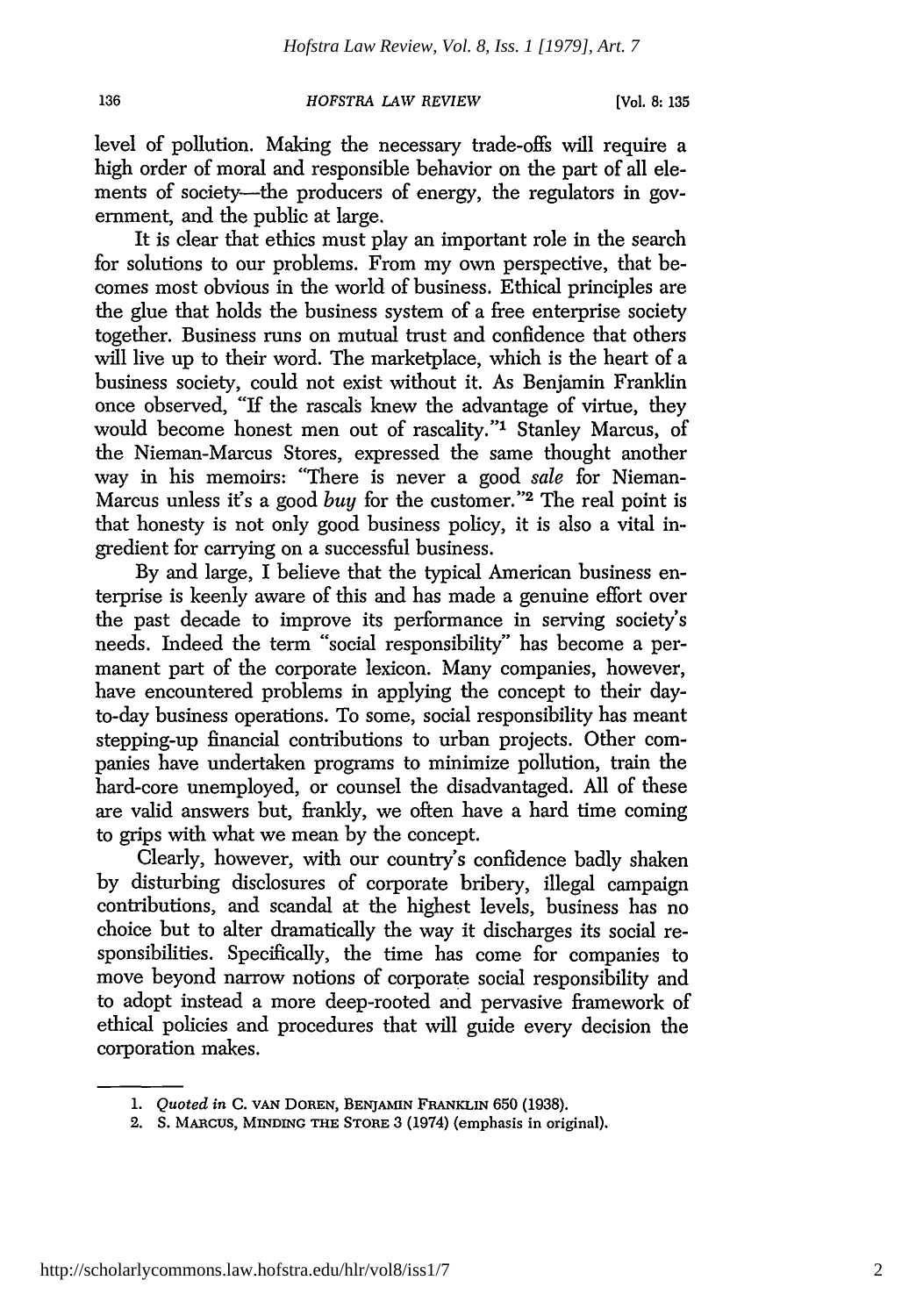#### **136** *HOFSTRA LAW REVIEW* [Vol. 8:135

level of pollution. Making the necessary trade-offs will require a high order of moral and responsible behavior on the part of all elements of society—the producers of energy, the regulators in government, and the public at large.

It is clear that ethics must play an important role in the search for solutions to our problems. From my own perspective, that becomes most obvious in the world of business. Ethical principles are the glue that holds the business system of a free enterprise society together. Business runs on mutual trust and confidence that others will live up to their word. The marketplace, which is the heart of a business society, could not exist without it. As Benjamin Franklin once observed, "If the rascals knew the advantage of virtue, they would become honest men out of rascality."<sup>1</sup> Stanley Marcus, of the Nieman-Marcus Stores, expressed the same thought another way in his memoirs: "There is never a good *sale* for Nieman-Marcus unless it's a good *buy* for the customer."2 The real point is that honesty is not only good business policy, it is also a vital ingredient for carrying on a successful business.

By and large, I believe that the typical American business enterprise is keenly aware of this and has made a genuine effort over the past decade to improve its performance in serving society's needs. Indeed the term "social responsibility" has become a permanent part of the corporate lexicon. Many companies, however, have encountered problems in applying the concept to their dayto-day business operations. To some, social responsibility has meant stepping-up financial contributions to urban projects. Other companies have undertaken programs to minimize pollution, train the hard-core unemployed, or counsel the disadvantaged. All of these are valid answers but, frankly, we often have a hard time coming to grips with what we mean by the concept.

Clearly, however, with our country's confidence badly shaken by disturbing disclosures of corporate bribery, illegal campaign contributions, and scandal at the highest levels, business has no choice but to alter dramatically the way it discharges its social responsibilities. Specifically, the time has come for companies to move beyond narrow notions of corporate social responsibility and to adopt instead a more deep-rooted and pervasive framework of ethical policies and procedures that will guide every decision the corporation makes.

*<sup>1.</sup> Quoted in* **C. VAN** DOREN, BENJAMIN FRANKLIN 650 (1938).

<sup>2.</sup> **S. MARCUS,** MINDING **THE STORE** 3 (1974) (emphasis in original).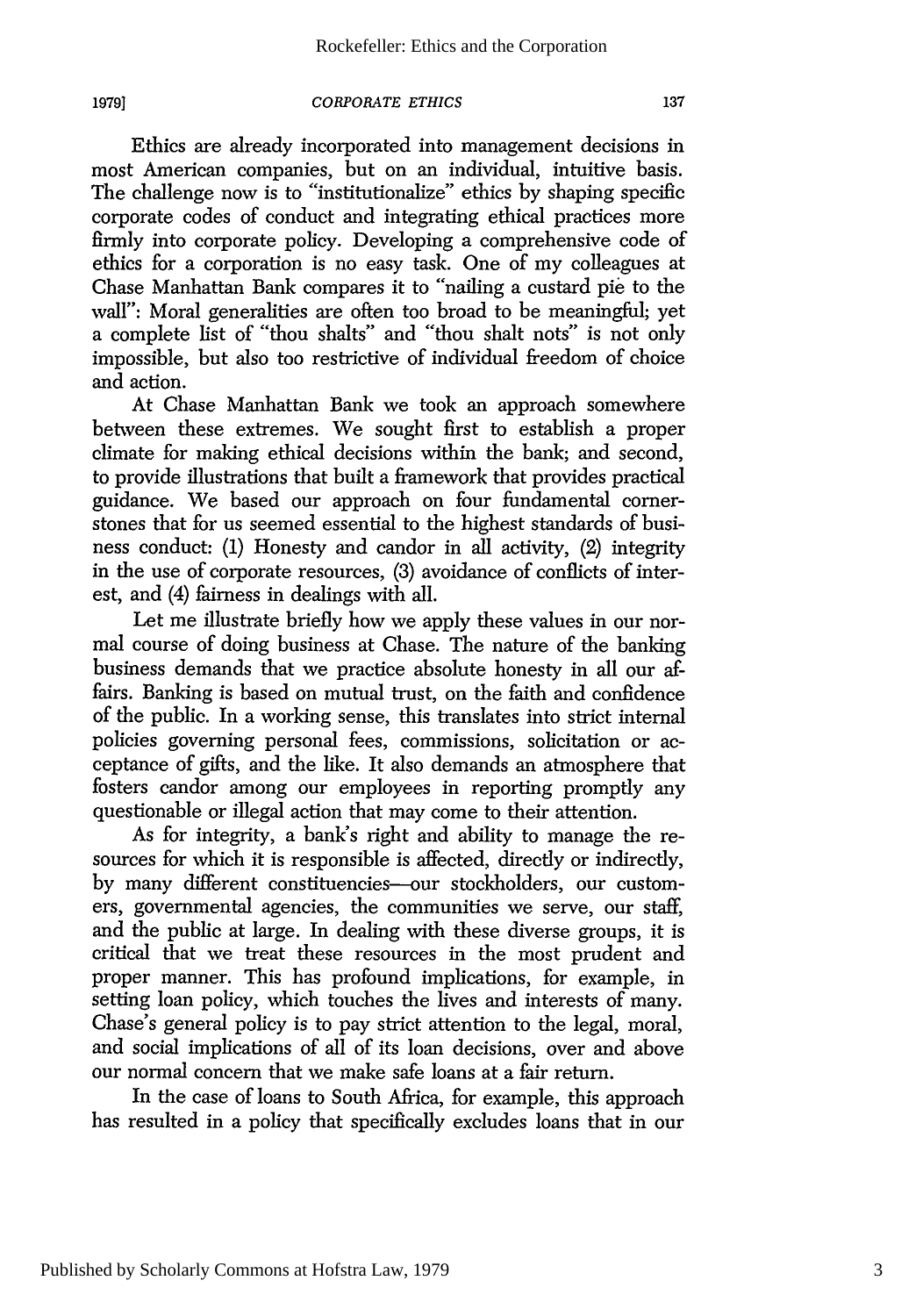**1979]**

#### *CORPORATE ETHICS*

Ethics are already incorporated into management decisions in most American companies, but on an individual, intuitive basis. The challenge now is to "institutionalize" ethics by shaping specific corporate codes of conduct and integrating ethical practices more firmly into corporate policy. Developing a comprehensive code of ethics for a corporation is no easy task. One of my colleagues at Chase Manhattan Bank compares it to "nailing a custard pie to the wall": Moral generalities are often too broad to be meaningful; yet a complete list of "thou shalts" and "thou shalt nots" is not only impossible, but also too restrictive of individual freedom of choice and action.

At Chase Manhattan Bank we took an approach somewhere between these extremes. We sought first to establish a proper climate for making ethical decisions within the bank; and second, to provide illustrations that built a framework that provides practical guidance. We based our approach on four fundamental cornerstones that for us seemed essential to the highest standards of business conduct: (1) Honesty and candor in all activity, (2) integrity in the use of corporate resources, (3) avoidance of conflicts of interest, and (4) fairness in dealings with all.

Let me illustrate briefly how we apply these values in our normal course of doing business at Chase. The nature of the banking business demands that we practice absolute honesty in all our affairs. Banking is based on mutual trust, on the faith and confidence of the public. In a working sense, this translates into strict internal policies governing personal fees, commissions, solicitation or acceptance of gifts, and the like. It also demands an atmosphere that fosters candor among our employees in reporting promptly any questionable or illegal action that may come to their attention.

As for integrity, a bank's right and ability to manage the resources for which it is responsible is affected, directly or indirectly, by many different constituencies--our stockholders, our customers, governmental agencies, the communities we serve, our staff, and the public at large. In dealing with these diverse groups, it is critical that we treat these resources in the most prudent and proper manner. This has profound implications, for example, in setting loan policy, which touches the lives and interests of many. Chase's general policy is to pay strict attention to the legal, moral, and social implications of all of its loan decisions, over and above our normal concern that we make safe loans at a fair return.

In the case of loans to South Africa, for example, this approach has resulted in a policy that specifically excludes loans that in our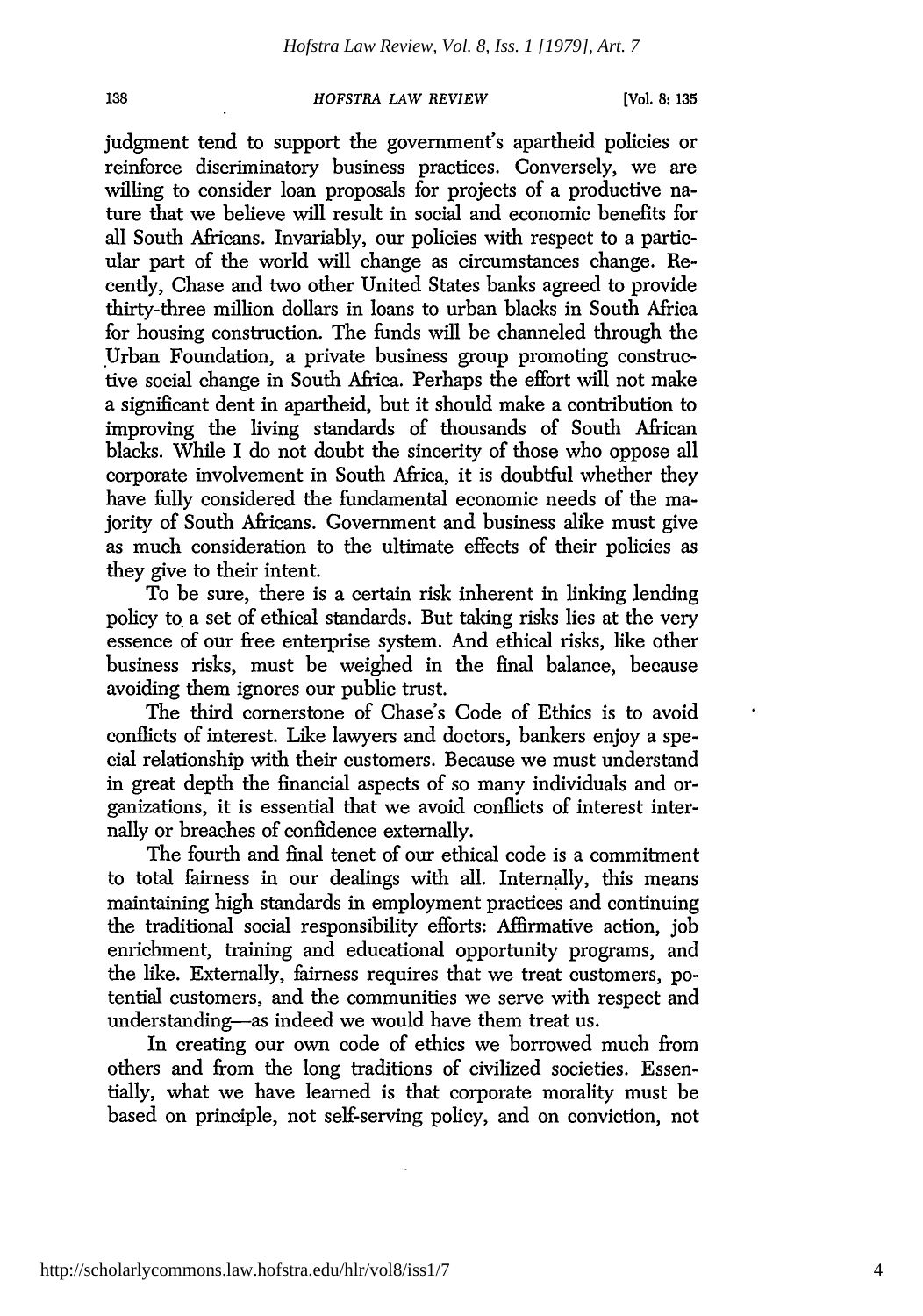#### *HOFSTRA LAW REVIEW*

judgment tend to support the government's apartheid policies or reinforce discriminatory business practices. Conversely, we are willing to consider loan proposals for projects of a productive nature that we believe will result in social and economic benefits for all South Africans. Invariably, our policies with respect to a particular part of the world will change as circumstances change. Recently, Chase and two other United States banks agreed to provide thirty-three million dollars in loans to urban blacks in South Africa for housing construction. The funds will be channeled through the Urban Foundation, a private business group promoting constructive social change in South Africa. Perhaps the effort will not make a significant dent in apartheid, but it should make a contribution to improving the living standards of thousands of South African blacks. While I do not doubt the sincerity of those who oppose all corporate involvement in South Africa, it is doubtful whether they have fully considered the fundamental economic needs of the majority of South Africans. Government and business alike must give as much consideration to the ultimate effects of their policies as they give to their intent.

To be sure, there is a certain risk inherent in linking lending policy to a set of ethical standards. But taking risks lies at the very essence of our free enterprise system. And ethical risks, like other business risks, must be weighed in the final balance, because avoiding them ignores our public trust.

The third cornerstone of Chase's Code of Ethics is to avoid conflicts of interest. Like lawyers and doctors, bankers enjoy a special relationship with their customers. Because we must understand in great depth the financial aspects of so many individuals and organizations, it is essential that we avoid conflicts of interest internally or breaches of confidence externally.

The fourth and final tenet of our ethical code is a commitment to total fairness in our dealings with all. Internally, this means maintaining high standards in employment practices and continuing the traditional social responsibility efforts: Affirmative action, **job** enrichment, training and educational opportunity programs, and the like. Externally, fairness requires that we treat customers, potential customers, and the communities we serve with respect and understanding-as indeed we would have them treat us.

In creating our own code of ethics we borrowed much from others and from the long traditions of civilized societies. Essentially, what we have learned is that corporate morality must be based on principle, not self-serving policy, and on conviction, not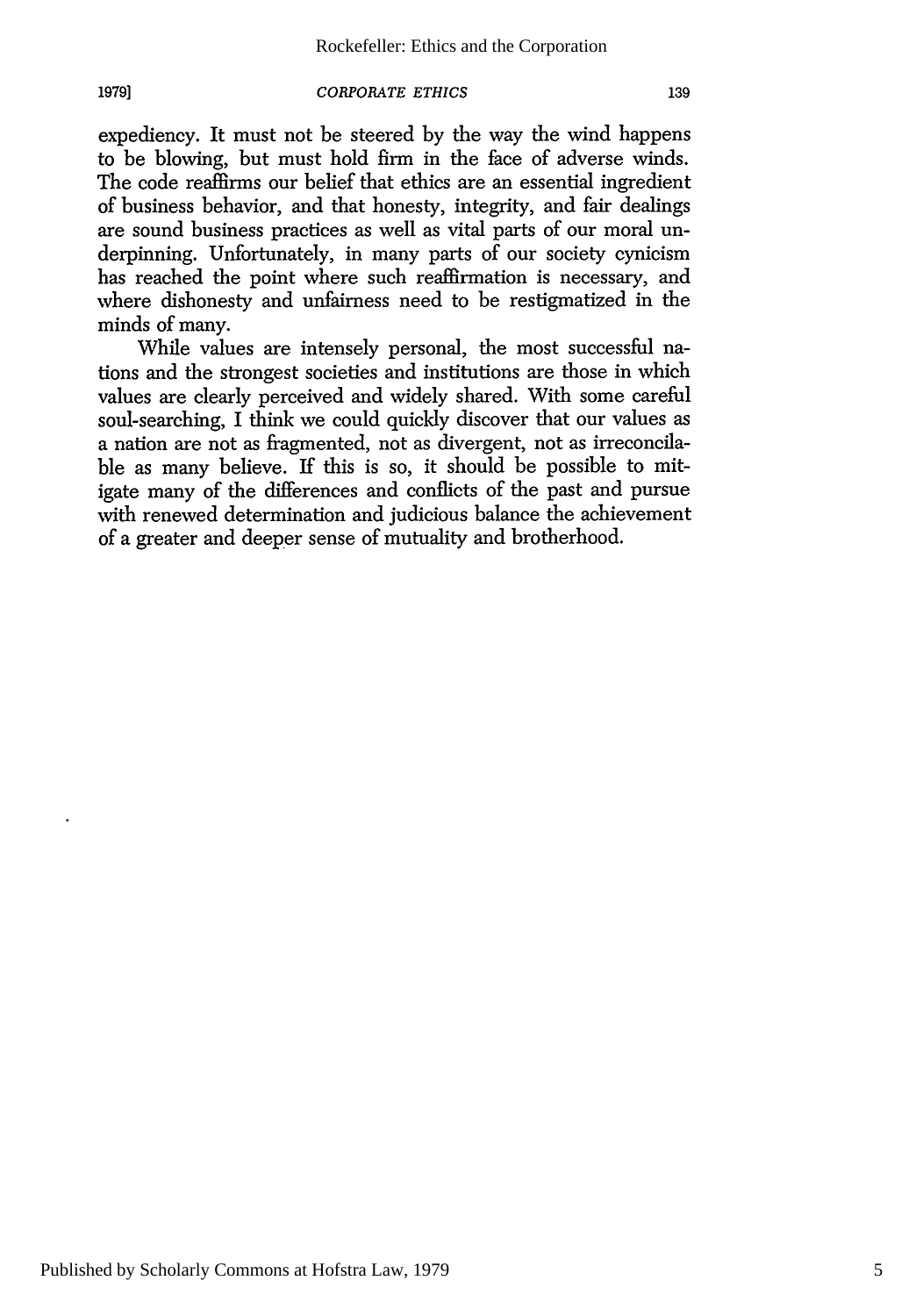### *CORPORATE ETHICS*

1979]

expediency. It must not be steered by the way the wind happens to be blowing, but must hold firm in the face of adverse winds. The code reaffirms our belief that ethics are an essential ingredient of business behavior, and that honesty, integrity, and fair dealings are sound business practices as well as vital parts of our moral underpinning. Unfortunately, in many parts of our society cynicism has reached the point where such reaffirmation is necessary, and where dishonesty and unfairness need to be restigmatized in the minds of many.

While values are intensely personal, the most successful nations and the strongest societies and institutions are those in which values are clearly perceived and widely shared. With some careful soul-searching, I think we could quickly discover that our values as a nation are not as fragmented, not as divergent, not as irreconcilable as many believe. If this is so, it should be possible to mitigate many of the differences and conflicts of the past and pursue with renewed determination and judicious balance the achievement of a greater and deeper sense of mutuality and brotherhood.